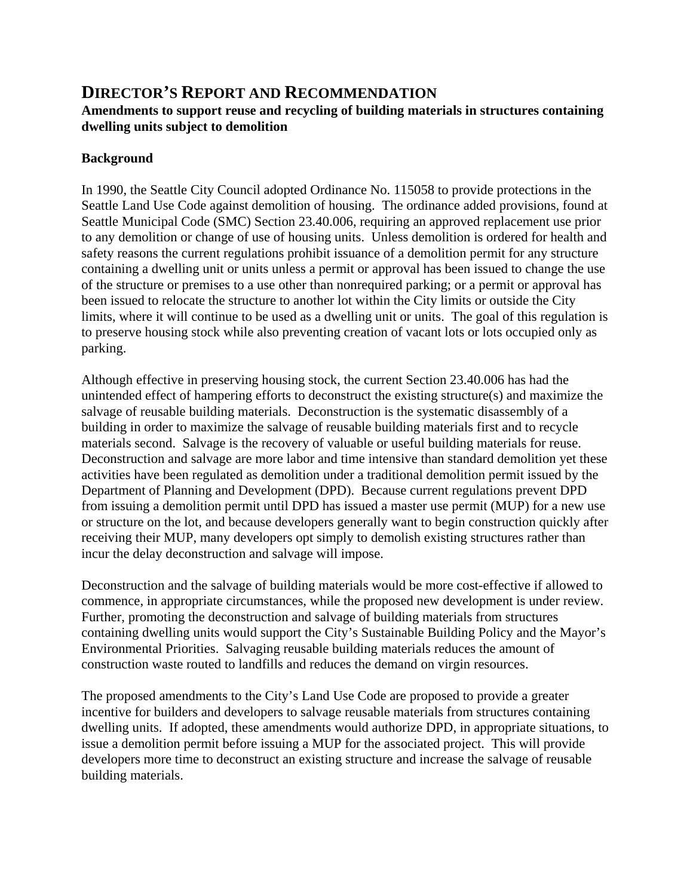# **DIRECTOR'S REPORT AND RECOMMENDATION**

### **Amendments to support reuse and recycling of building materials in structures containing dwelling units subject to demolition**

### **Background**

In 1990, the Seattle City Council adopted Ordinance No. 115058 to provide protections in the Seattle Land Use Code against demolition of housing. The ordinance added provisions, found at Seattle Municipal Code (SMC) Section 23.40.006, requiring an approved replacement use prior to any demolition or change of use of housing units. Unless demolition is ordered for health and safety reasons the current regulations prohibit issuance of a demolition permit for any structure containing a dwelling unit or units unless a permit or approval has been issued to change the use of the structure or premises to a use other than nonrequired parking; or a permit or approval has been issued to relocate the structure to another lot within the City limits or outside the City limits, where it will continue to be used as a dwelling unit or units. The goal of this regulation is to preserve housing stock while also preventing creation of vacant lots or lots occupied only as parking.

Although effective in preserving housing stock, the current Section 23.40.006 has had the unintended effect of hampering efforts to deconstruct the existing structure(s) and maximize the salvage of reusable building materials. Deconstruction is the systematic disassembly of a building in order to maximize the salvage of reusable building materials first and to recycle materials second. Salvage is the recovery of valuable or useful building materials for reuse. Deconstruction and salvage are more labor and time intensive than standard demolition yet these activities have been regulated as demolition under a traditional demolition permit issued by the Department of Planning and Development (DPD). Because current regulations prevent DPD from issuing a demolition permit until DPD has issued a master use permit (MUP) for a new use or structure on the lot, and because developers generally want to begin construction quickly after receiving their MUP, many developers opt simply to demolish existing structures rather than incur the delay deconstruction and salvage will impose.

Deconstruction and the salvage of building materials would be more cost-effective if allowed to commence, in appropriate circumstances, while the proposed new development is under review. Further, promoting the deconstruction and salvage of building materials from structures containing dwelling units would support the City's Sustainable Building Policy and the Mayor's Environmental Priorities. Salvaging reusable building materials reduces the amount of construction waste routed to landfills and reduces the demand on virgin resources.

The proposed amendments to the City's Land Use Code are proposed to provide a greater incentive for builders and developers to salvage reusable materials from structures containing dwelling units. If adopted, these amendments would authorize DPD, in appropriate situations, to issue a demolition permit before issuing a MUP for the associated project. This will provide developers more time to deconstruct an existing structure and increase the salvage of reusable building materials.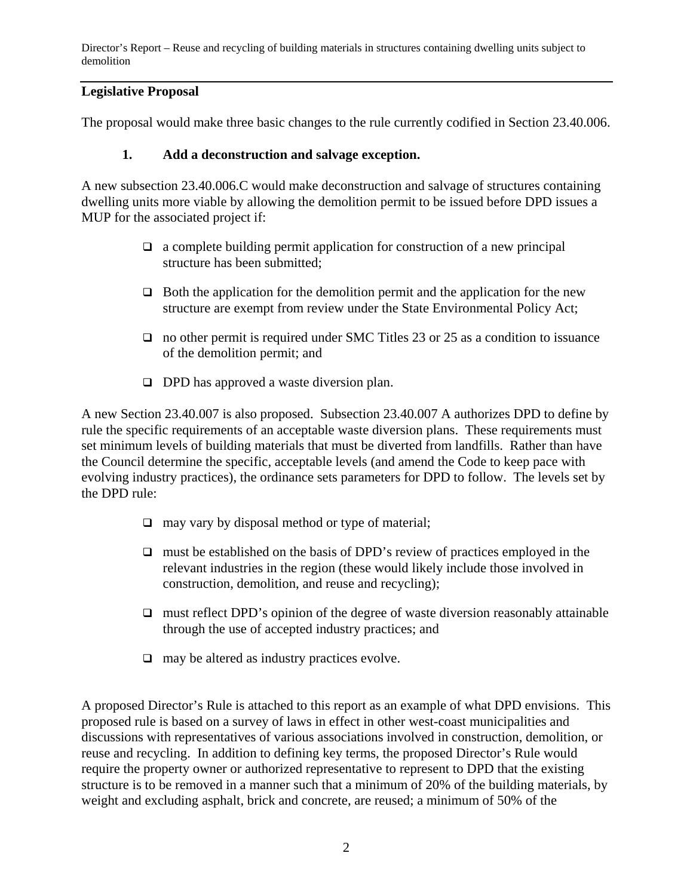Director's Report – Reuse and recycling of building materials in structures containing dwelling units subject to demolition

### **Legislative Proposal**

The proposal would make three basic changes to the rule currently codified in Section 23.40.006.

#### **1. Add a deconstruction and salvage exception.**

A new subsection 23.40.006.C would make deconstruction and salvage of structures containing dwelling units more viable by allowing the demolition permit to be issued before DPD issues a MUP for the associated project if:

- $\Box$  a complete building permit application for construction of a new principal structure has been submitted;
- $\Box$  Both the application for the demolition permit and the application for the new structure are exempt from review under the State Environmental Policy Act;
- $\Box$  no other permit is required under SMC Titles 23 or 25 as a condition to issuance of the demolition permit; and
- $\Box$  DPD has approved a waste diversion plan.

A new Section 23.40.007 is also proposed. Subsection 23.40.007 A authorizes DPD to define by rule the specific requirements of an acceptable waste diversion plans. These requirements must set minimum levels of building materials that must be diverted from landfills. Rather than have the Council determine the specific, acceptable levels (and amend the Code to keep pace with evolving industry practices), the ordinance sets parameters for DPD to follow. The levels set by the DPD rule:

- $\Box$  may vary by disposal method or type of material;
- $\Box$  must be established on the basis of DPD's review of practices employed in the relevant industries in the region (these would likely include those involved in construction, demolition, and reuse and recycling);
- $\Box$  must reflect DPD's opinion of the degree of waste diversion reasonably attainable through the use of accepted industry practices; and
- $\Box$  may be altered as industry practices evolve.

A proposed Director's Rule is attached to this report as an example of what DPD envisions. This proposed rule is based on a survey of laws in effect in other west-coast municipalities and discussions with representatives of various associations involved in construction, demolition, or reuse and recycling. In addition to defining key terms, the proposed Director's Rule would require the property owner or authorized representative to represent to DPD that the existing structure is to be removed in a manner such that a minimum of 20% of the building materials, by weight and excluding asphalt, brick and concrete, are reused; a minimum of 50% of the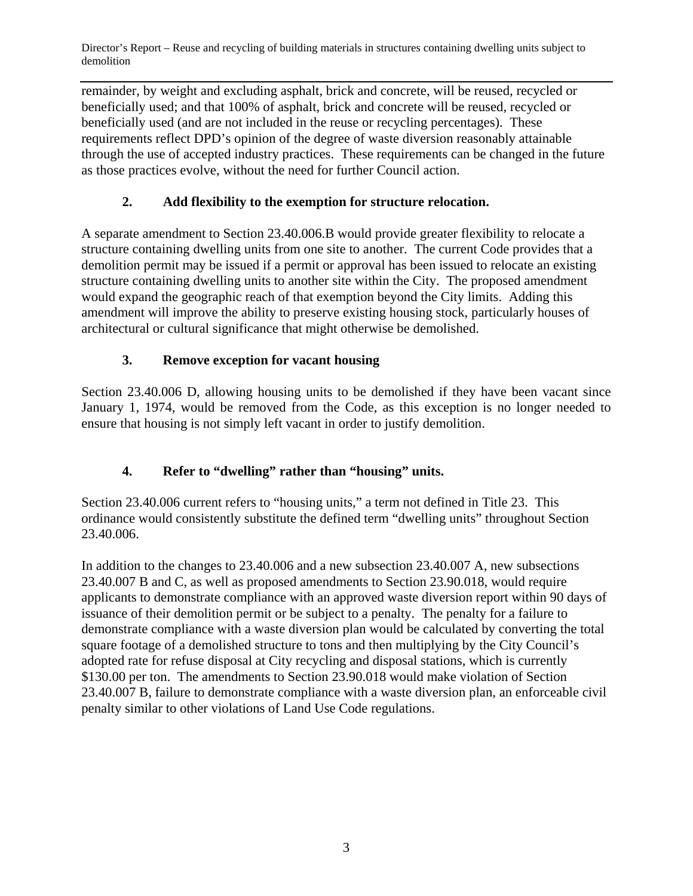Director's Report – Reuse and recycling of building materials in structures containing dwelling units subject to demolition

remainder, by weight and excluding asphalt, brick and concrete, will be reused, recycled or beneficially used; and that 100% of asphalt, brick and concrete will be reused, recycled or beneficially used (and are not included in the reuse or recycling percentages). These requirements reflect DPD's opinion of the degree of waste diversion reasonably attainable through the use of accepted industry practices. These requirements can be changed in the future as those practices evolve, without the need for further Council action.

# **2. Add flexibility to the exemption for structure relocation.**

A separate amendment to Section 23.40.006.B would provide greater flexibility to relocate a structure containing dwelling units from one site to another. The current Code provides that a demolition permit may be issued if a permit or approval has been issued to relocate an existing structure containing dwelling units to another site within the City. The proposed amendment would expand the geographic reach of that exemption beyond the City limits. Adding this amendment will improve the ability to preserve existing housing stock, particularly houses of architectural or cultural significance that might otherwise be demolished.

# **3. Remove exception for vacant housing**

Section 23.40.006 D, allowing housing units to be demolished if they have been vacant since January 1, 1974, would be removed from the Code, as this exception is no longer needed to ensure that housing is not simply left vacant in order to justify demolition.

# **4. Refer to "dwelling" rather than "housing" units.**

Section 23.40.006 current refers to "housing units," a term not defined in Title 23. This ordinance would consistently substitute the defined term "dwelling units" throughout Section 23.40.006.

In addition to the changes to 23.40.006 and a new subsection 23.40.007 A, new subsections 23.40.007 B and C, as well as proposed amendments to Section 23.90.018, would require applicants to demonstrate compliance with an approved waste diversion report within 90 days of issuance of their demolition permit or be subject to a penalty. The penalty for a failure to demonstrate compliance with a waste diversion plan would be calculated by converting the total square footage of a demolished structure to tons and then multiplying by the City Council's adopted rate for refuse disposal at City recycling and disposal stations, which is currently \$130.00 per ton. The amendments to Section 23.90.018 would make violation of Section 23.40.007 B, failure to demonstrate compliance with a waste diversion plan, an enforceable civil penalty similar to other violations of Land Use Code regulations.